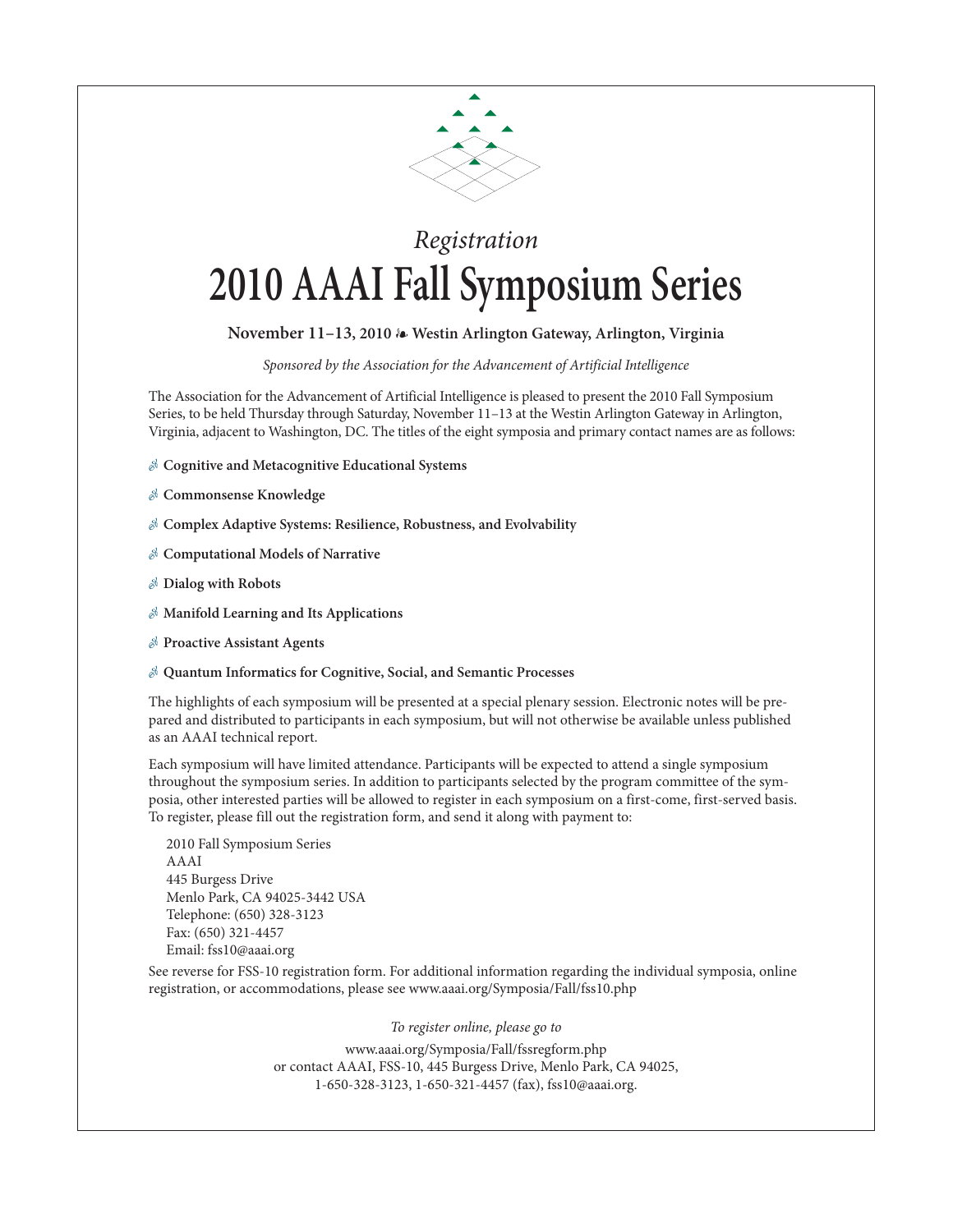

## *Registration* **2010 AAAI Fall Symposium Series**

## **November 11–13, 2010** - **Westin Arlington Gateway, Arlington, Virginia**

*Sponsored by the Association for the Advancement of Artificial Intelligence* 

The Association for the Advancement of Artificial Intelligence is pleased to present the 2010 Fall Symposium Series, to be held Thursday through Saturday, November 11–13 at the Westin Arlington Gateway in Arlington, Virginia, adjacent to Washington, DC. The titles of the eight symposia and primary contact names are as follows:

- **Cognitive and Metacognitive Educational Systems**
- **Commonsense Knowledge**
- **Complex Adaptive Systems: Resilience, Robustness, and Evolvability**
- **Computational Models of Narrative**
- **Dialog with Robots**
- **Manifold Learning and Its Applications**
- **Proactive Assistant Agents**
- **Quantum Informatics for Cognitive, Social, and Semantic Processes**

The highlights of each symposium will be presented at a special plenary session. Electronic notes will be prepared and distributed to participants in each symposium, but will not otherwise be available unless published as an AAAI technical report.

Each symposium will have limited attendance. Participants will be expected to attend a single symposium throughout the symposium series. In addition to participants selected by the program committee of the symposia, other interested parties will be allowed to register in each symposium on a first-come, first-served basis. To register, please fill out the registration form, and send it along with payment to:

2010 Fall Symposium Series AAAI 445 Burgess Drive Menlo Park, CA 94025-3442 USA Telephone: (650) 328-3123 Fax: (650) 321-4457 Email: fss10@aaai.org

See reverse for FSS-10 registration form. For additional information regarding the individual symposia, online registration, or accommodations, please see www.aaai.org/Symposia/Fall/fss10.php

*To register online, please go to*

www.aaai.org/Symposia/Fall/fssregform.php or contact AAAI, FSS-10, 445 Burgess Drive, Menlo Park, CA 94025, 1-650-328-3123, 1-650-321-4457 (fax), fss10@aaai.org.